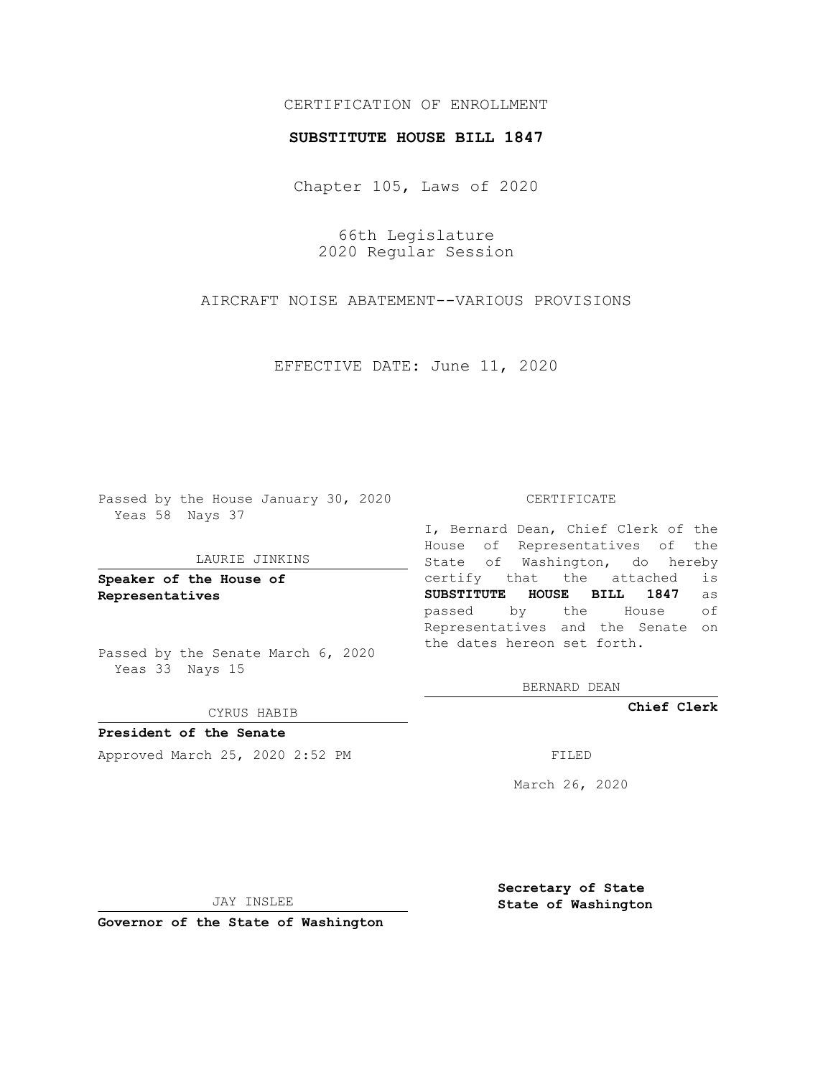# CERTIFICATION OF ENROLLMENT

### **SUBSTITUTE HOUSE BILL 1847**

Chapter 105, Laws of 2020

66th Legislature 2020 Regular Session

AIRCRAFT NOISE ABATEMENT--VARIOUS PROVISIONS

EFFECTIVE DATE: June 11, 2020

Passed by the House January 30, 2020 Yeas 58 Nays 37

#### LAURIE JINKINS

**Speaker of the House of Representatives**

Passed by the Senate March 6, 2020 Yeas 33 Nays 15

#### CYRUS HABIB

**President of the Senate** Approved March 25, 2020 2:52 PM

#### CERTIFICATE

I, Bernard Dean, Chief Clerk of the House of Representatives of the State of Washington, do hereby certify that the attached is **SUBSTITUTE HOUSE BILL 1847** as passed by the House of Representatives and the Senate on the dates hereon set forth.

BERNARD DEAN

**Chief Clerk**

March 26, 2020

JAY INSLEE

**Governor of the State of Washington**

**Secretary of State State of Washington**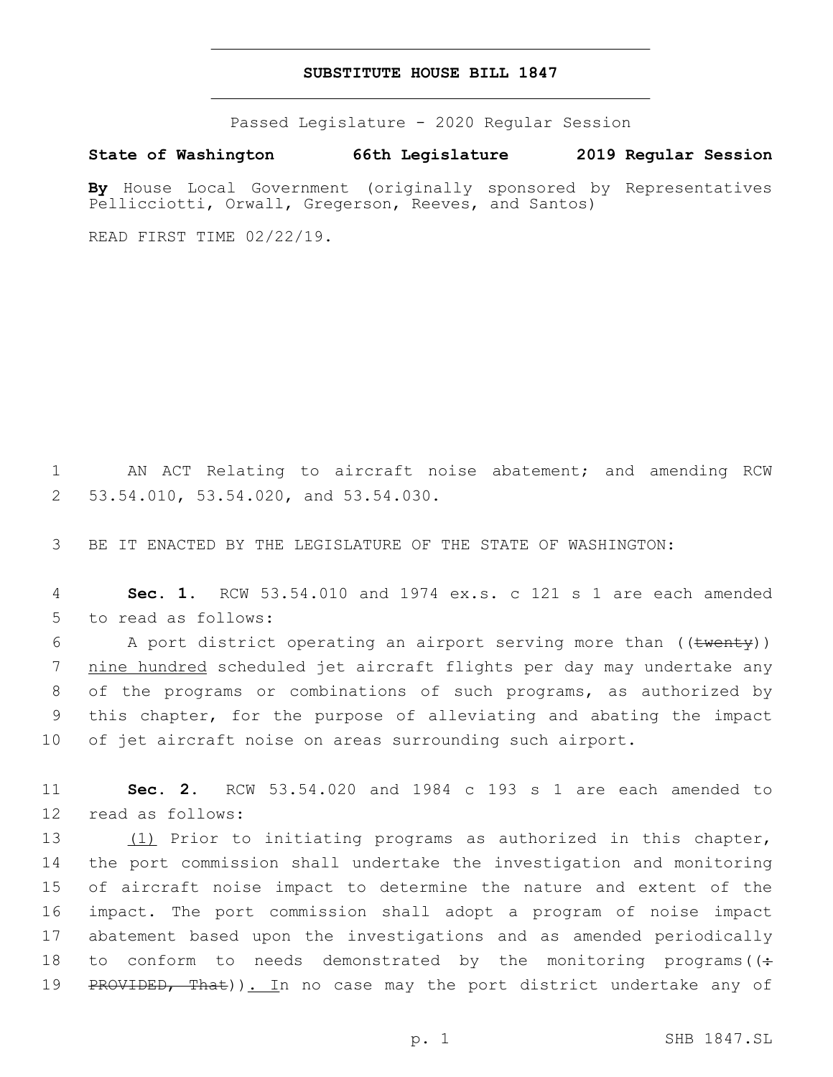## **SUBSTITUTE HOUSE BILL 1847**

Passed Legislature - 2020 Regular Session

**State of Washington 66th Legislature 2019 Regular Session**

**By** House Local Government (originally sponsored by Representatives Pellicciotti, Orwall, Gregerson, Reeves, and Santos)

READ FIRST TIME 02/22/19.

1 AN ACT Relating to aircraft noise abatement; and amending RCW 2 53.54.010, 53.54.020, and 53.54.030.

3 BE IT ENACTED BY THE LEGISLATURE OF THE STATE OF WASHINGTON:

4 **Sec. 1.** RCW 53.54.010 and 1974 ex.s. c 121 s 1 are each amended 5 to read as follows:

6 A port district operating an airport serving more than ((twenty)) nine hundred scheduled jet aircraft flights per day may undertake any of the programs or combinations of such programs, as authorized by this chapter, for the purpose of alleviating and abating the impact of jet aircraft noise on areas surrounding such airport.

11 **Sec. 2.** RCW 53.54.020 and 1984 c 193 s 1 are each amended to 12 read as follows:

13 (1) Prior to initiating programs as authorized in this chapter, 14 the port commission shall undertake the investigation and monitoring 15 of aircraft noise impact to determine the nature and extent of the 16 impact. The port commission shall adopt a program of noise impact 17 abatement based upon the investigations and as amended periodically 18 to conform to needs demonstrated by the monitoring programs ( $\left(\div\right)$ 19 PROVIDED, That)). In no case may the port district undertake any of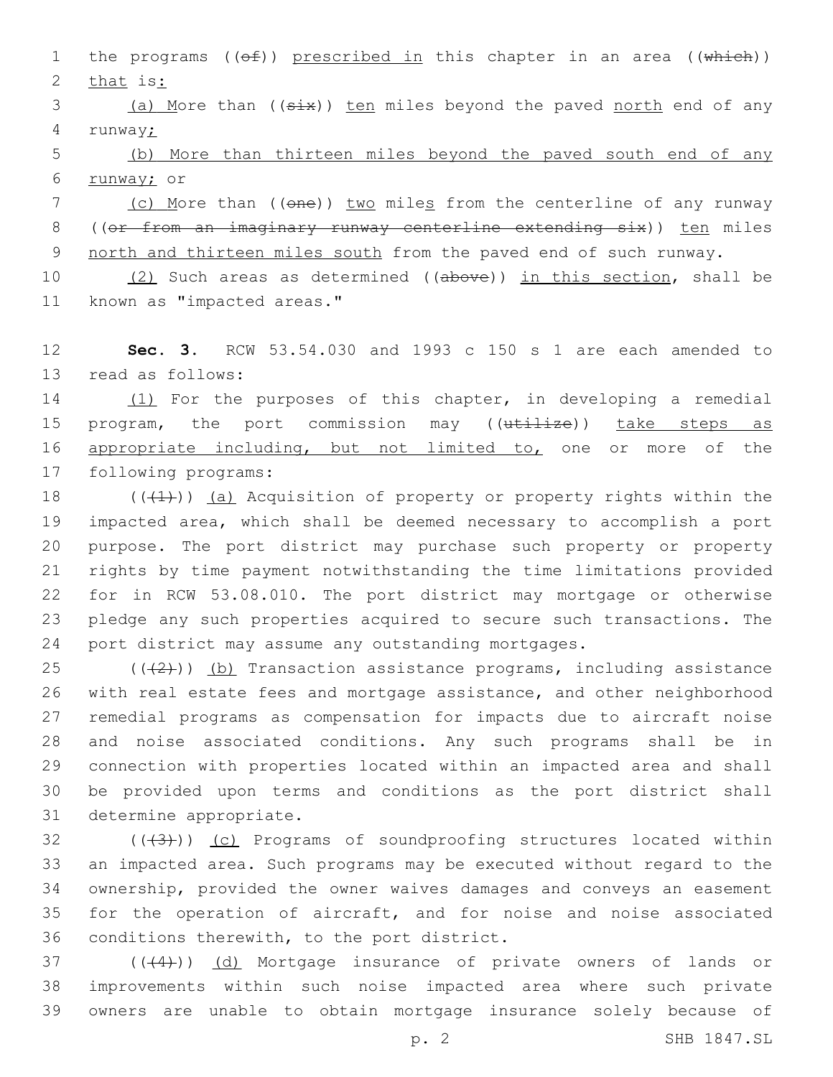1 the programs  $((e f))$  prescribed in this chapter in an area  $((\text{which}))$ 2 that is:

3 (a) More than ((six)) ten miles beyond the paved north end of any 4 runway;

5 (b) More than thirteen miles beyond the paved south end of any 6 runway; or

7 (c) More than ((one)) two miles from the centerline of any runway 8 ((or from an imaginary runway centerline extending six)) ten miles 9 north and thirteen miles south from the paved end of such runway.

10 (2) Such areas as determined ((above)) in this section, shall be 11 known as "impacted areas."

12 **Sec. 3.** RCW 53.54.030 and 1993 c 150 s 1 are each amended to 13 read as follows:

14 (1) For the purposes of this chapter, in developing a remedial 15 program, the port commission may ((utilize)) take steps as 16 appropriate including, but not limited to, one or more of the 17 following programs:

 $((+1))$  (a) Acquisition of property or property rights within the impacted area, which shall be deemed necessary to accomplish a port purpose. The port district may purchase such property or property rights by time payment notwithstanding the time limitations provided for in RCW 53.08.010. The port district may mortgage or otherwise pledge any such properties acquired to secure such transactions. The port district may assume any outstanding mortgages.

 $((+2))$  (b) Transaction assistance programs, including assistance with real estate fees and mortgage assistance, and other neighborhood remedial programs as compensation for impacts due to aircraft noise and noise associated conditions. Any such programs shall be in connection with properties located within an impacted area and shall be provided upon terms and conditions as the port district shall 31 determine appropriate.

 ( $(\frac{43}{})$ ) (c) Programs of soundproofing structures located within an impacted area. Such programs may be executed without regard to the ownership, provided the owner waives damages and conveys an easement for the operation of aircraft, and for noise and noise associated 36 conditions therewith, to the port district.

37 (((4))) (d) Mortgage insurance of private owners of lands or 38 improvements within such noise impacted area where such private 39 owners are unable to obtain mortgage insurance solely because of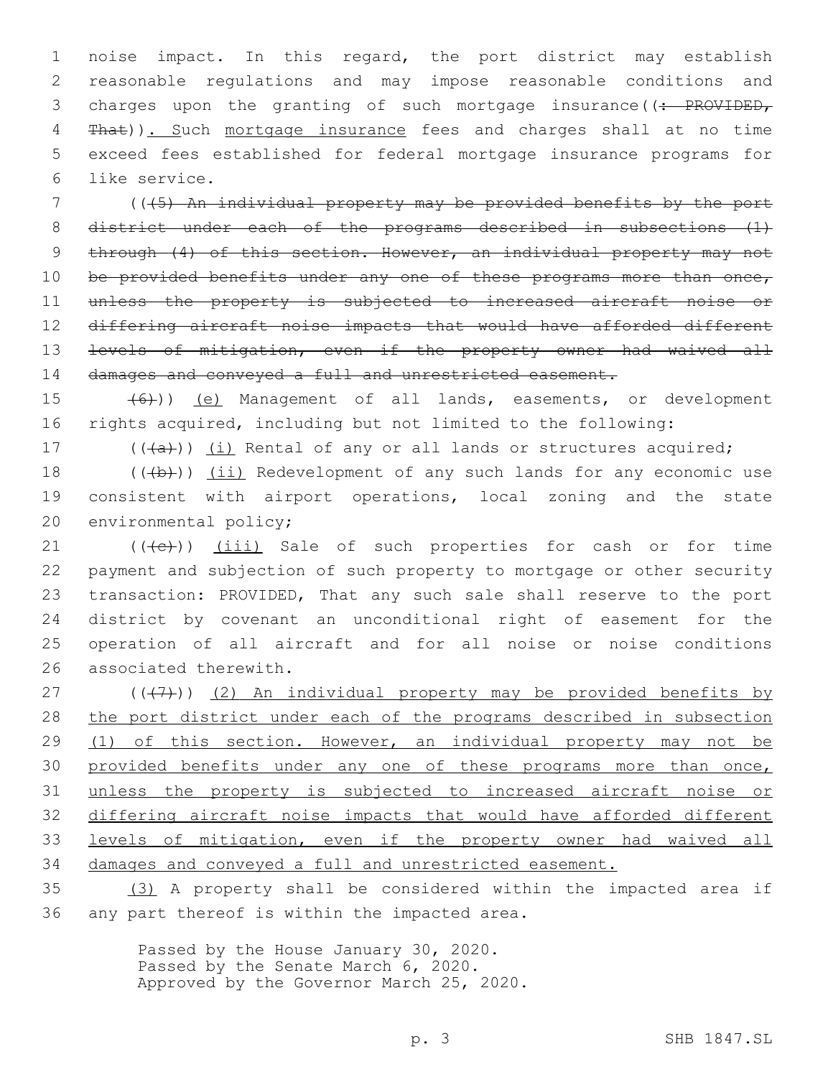1 noise impact. In this regard, the port district may establish 2 reasonable regulations and may impose reasonable conditions and 3 charges upon the granting of such mortgage insurance((: PROVIDED, 4 That)). Such mortgage insurance fees and charges shall at no time 5 exceed fees established for federal mortgage insurance programs for 6 like service.

7 (((5) An individual property may be provided benefits by the port 8 district under each of the programs described in subsections (1) 9 through (4) of this section. However, an individual property may not 10 be provided benefits under any one of these programs more than once, 11 unless the property is subjected to increased aircraft noise or 12 differing aircraft noise impacts that would have afforded different 13 levels of mitigation, even if the property owner had waived all 14 damages and conveyed a full and unrestricted easement.

15 (6)) (e) Management of all lands, easements, or development 16 rights acquired, including but not limited to the following:

17  $((+a))$   $(i)$  Rental of any or all lands or structures acquired;

18  $((+b))$   $(i)$  Redevelopment of any such lands for any economic use 19 consistent with airport operations, local zoning and the state 20 environmental policy;

 ( $(\text{+e})$ )  $(iii)$  Sale of such properties for cash or for time payment and subjection of such property to mortgage or other security transaction: PROVIDED, That any such sale shall reserve to the port district by covenant an unconditional right of easement for the operation of all aircraft and for all noise or noise conditions 26 associated therewith.

 $(1)$  ( $(1)$ ) (2) An individual property may be provided benefits by the port district under each of the programs described in subsection (1) of this section. However, an individual property may not be 30 provided benefits under any one of these programs more than once, unless the property is subjected to increased aircraft noise or differing aircraft noise impacts that would have afforded different levels of mitigation, even if the property owner had waived all damages and conveyed a full and unrestricted easement.

35 (3) A property shall be considered within the impacted area if 36 any part thereof is within the impacted area.

> Passed by the House January 30, 2020. Passed by the Senate March 6, 2020. Approved by the Governor March 25, 2020.